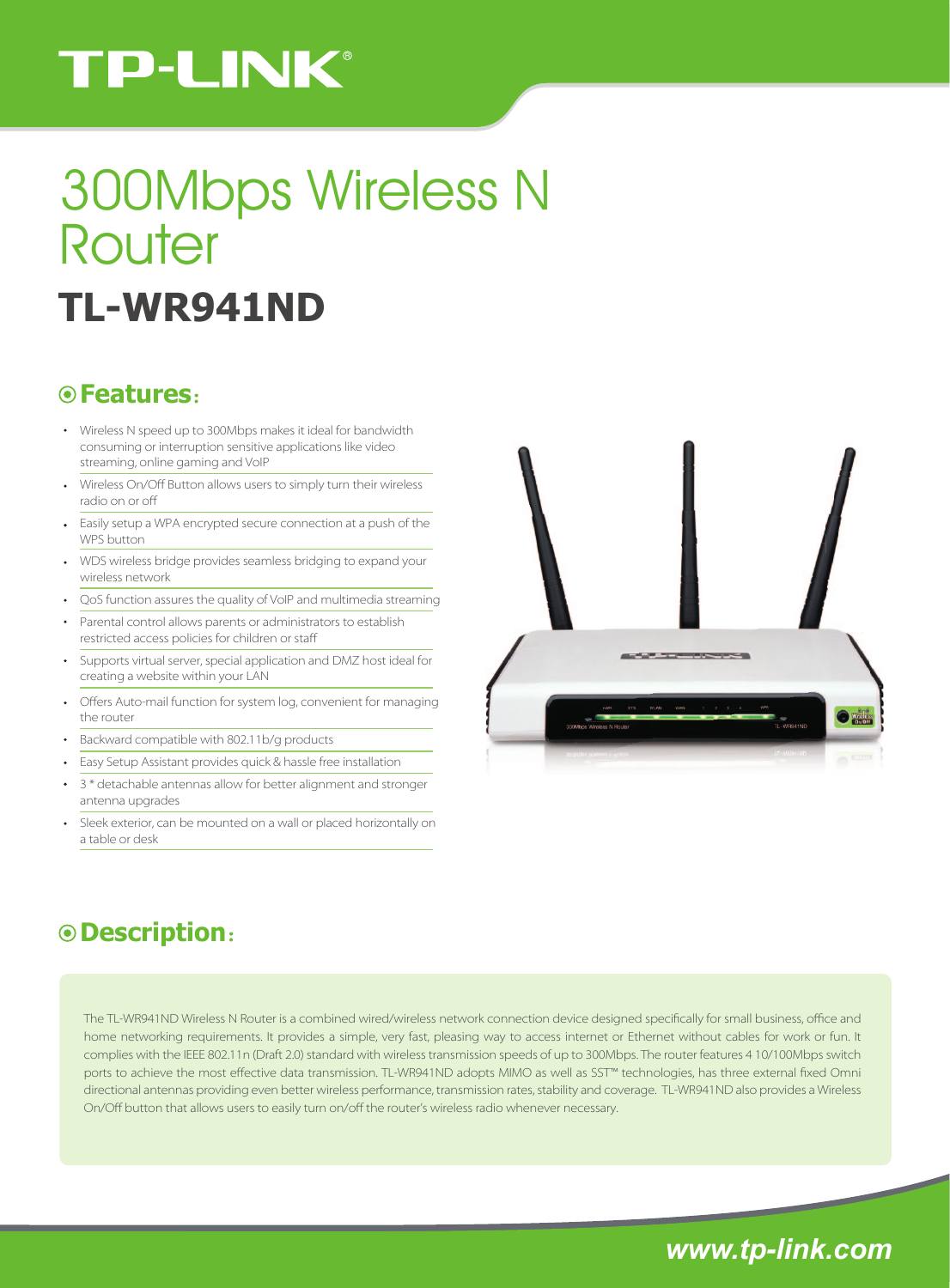# **TP-LINK®**

# **TL-WR941ND** 300Mbps Wireless N Router

#### **Features**:

- Wireless N speed up to 300Mbps makes it ideal for bandwidth consuming or interruption sensitive applications like video streaming, online gaming and VoIP
- Wireless On/Off Button allows users to simply turn their wireless radio on or o
- Easily setup a WPA encrypted secure connection at a push of the WPS button
- WDS wireless bridge provides seamless bridging to expand your wireless network
- QoS function assures the quality of VoIP and multimedia streaming
- Parental control allows parents or administrators to establish  $\mathbf{r}$ restricted access policies for children or sta
- Supports virtual server, special application and DMZ host ideal for creating a website within your LAN
- Offers Auto-mail function for system log, convenient for managing  $\ddot{\phantom{0}}$ the router
- Backward compatible with 802.11b/g products
- Easy Setup Assistant provides quick & hassle free installation
- 3 \* detachable antennas allow for better alignment and stronger antenna upgrades
- Sleek exterior, can be mounted on a wall or placed horizontally on a table or desk



### **Description**:

The TL-WR941ND Wireless N Router is a combined wired/wireless network connection device designed specifically for small business, office and home networking requirements. It provides a simple, very fast, pleasing way to access internet or Ethernet without cables for work or fun. It complies with the IEEE 802.11n (Draft 2.0) standard with wireless transmission speeds of up to 300Mbps. The router features 4 10/100Mbps switch ports to achieve the most effective data transmission. TL-WR941ND adopts MIMO as well as SST<sup>m</sup> technologies, has three external fixed Omni directional antennas providing even better wireless performance, transmission rates, stability and coverage. TL-WR941ND also provides a Wireless On/Off button that allows users to easily turn on/off the router's wireless radio whenever necessary.

*www.tp-link.com*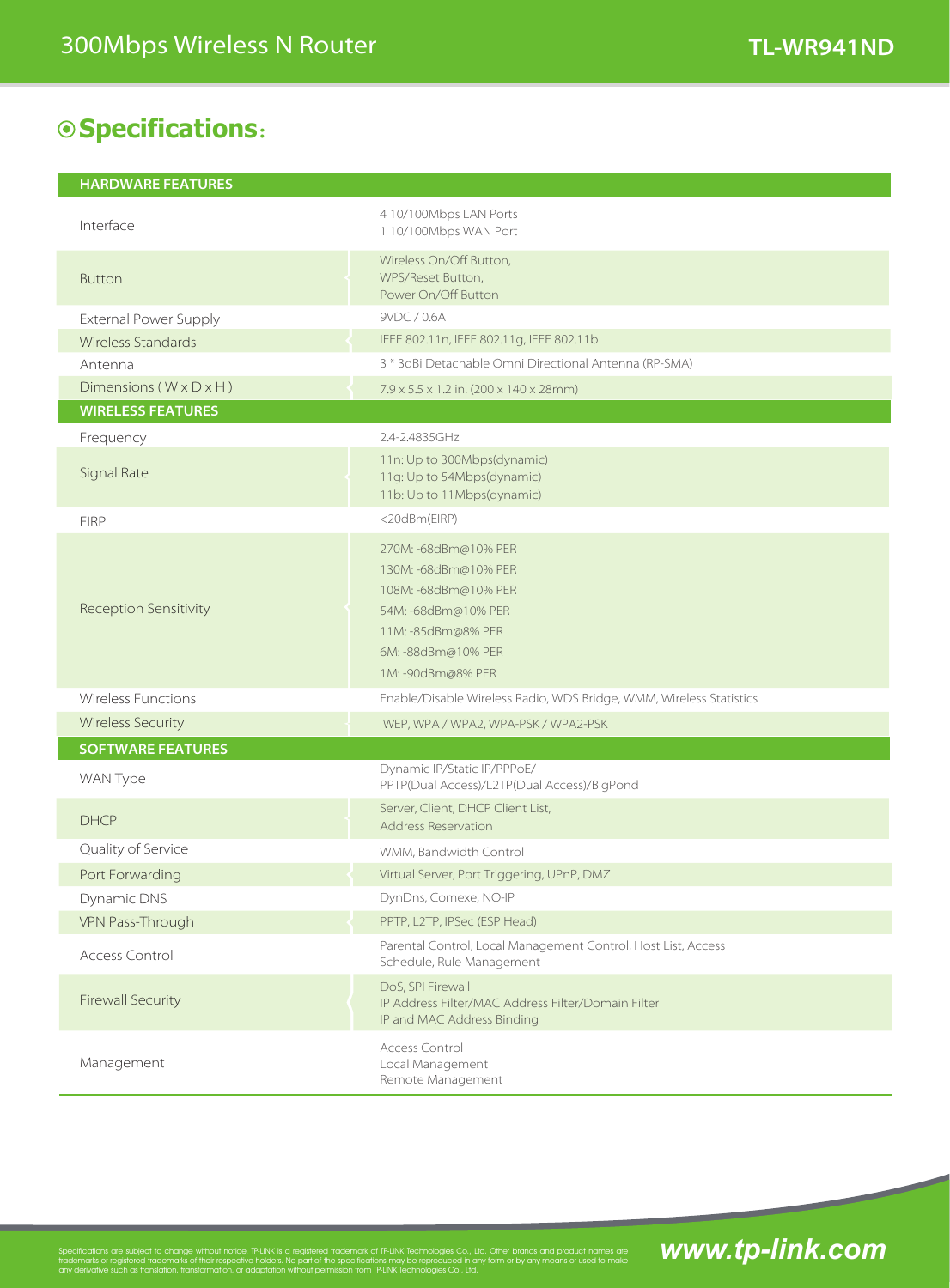# **Specifications**:

| <b>HARDWARE FEATURES</b> |  |  |
|--------------------------|--|--|
|                          |  |  |

| Interface                          | 4 10/100Mbps LAN Ports<br>1 10/100Mbps WAN Port                                                                                                              |  |
|------------------------------------|--------------------------------------------------------------------------------------------------------------------------------------------------------------|--|
| <b>Button</b>                      | Wireless On/Off Button,<br>WPS/Reset Button,<br>Power On/Off Button                                                                                          |  |
| External Power Supply              | 9VDC / 0.6A                                                                                                                                                  |  |
| Wireless Standards                 | IEEE 802.11n, IEEE 802.11g, IEEE 802.11b                                                                                                                     |  |
| Antenna                            | 3 * 3dBi Detachable Omni Directional Antenna (RP-SMA)                                                                                                        |  |
| Dimensions $(W \times D \times H)$ | $7.9 \times 5.5 \times 1.2$ in. (200 x 140 x 28mm)                                                                                                           |  |
| <b>WIRELESS FEATURES</b>           |                                                                                                                                                              |  |
| Frequency                          | 2.4-2.4835GHz                                                                                                                                                |  |
| Signal Rate                        | 11n: Up to 300Mbps(dynamic)<br>11g: Up to 54Mbps(dynamic)<br>11b: Up to 11Mbps(dynamic)                                                                      |  |
| <b>EIRP</b>                        | <20dBm(EIRP)                                                                                                                                                 |  |
| Reception Sensitivity              | 270M: -68dBm@10% PER<br>130M: -68dBm@10% PER<br>108M: -68dBm@10% PER<br>54M: -68dBm@10% PER<br>11M: -85dBm@8% PER<br>6M: -88dBm@10% PER<br>1M: -90dBm@8% PER |  |
| <b>Wireless Functions</b>          | Enable/Disable Wireless Radio, WDS Bridge, WMM, Wireless Statistics                                                                                          |  |
| <b>Wireless Security</b>           | WEP, WPA / WPA2, WPA-PSK / WPA2-PSK                                                                                                                          |  |
| <b>SOFTWARE FEATURES</b>           |                                                                                                                                                              |  |
| WAN Type                           | Dynamic IP/Static IP/PPPoE/<br>PPTP(Dual Access)/L2TP(Dual Access)/BigPond                                                                                   |  |
| <b>DHCP</b>                        | Server, Client, DHCP Client List,<br><b>Address Reservation</b>                                                                                              |  |
| Quality of Service                 | WMM, Bandwidth Control                                                                                                                                       |  |
| Port Forwarding                    | Virtual Server, Port Triggering, UPnP, DMZ                                                                                                                   |  |
| Dynamic DNS                        | DynDns, Comexe, NO-IP                                                                                                                                        |  |
| VPN Pass-Through                   | PPTP, L2TP, IPSec (ESP Head)                                                                                                                                 |  |
| Access Control                     | Parental Control, Local Management Control, Host List, Access<br>Schedule, Rule Management                                                                   |  |
| <b>Firewall Security</b>           | DoS, SPI Firewall<br>IP Address Filter/MAC Address Filter/Domain Filter<br>IP and MAC Address Binding                                                        |  |
| Management                         | Access Control<br>Local Management<br>Remote Management                                                                                                      |  |

Specifications are subject to change without notice. TP-LINK is a registered trademark of TP-LINK Technologies Co., Ltd. Other brands and product names are

any derivative such as translation, transformation, or adaptation without permission from TP-LINK Technologies Co., Ltd.

# <u>traduct nomes ore</u> **www.tp-link.com**